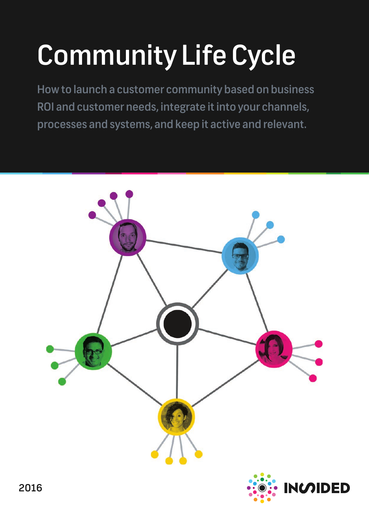# Community Life Cycle

How to launch a customer community based on business ROI and customer needs, integrate it into your channels, processes and systems, and keep it active and relevant.

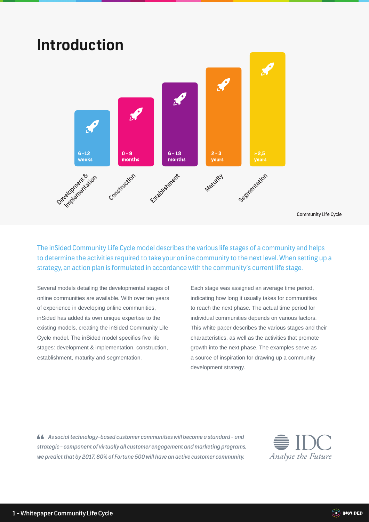### **Introduction**  $\mathscr{L}$  $6 - 12$  $0 - 9$  $6 - 18$  $2 - 3$  $> 2,5$ weeks months months years Development stock Seemertation Construction Establishment Maturity

Community Life Cycle

The inSided Community Life Cycle model describes the various life stages of a community and helps to determine the activities required to take your online community to the next level. When setting up a strategy, an action plan is formulated in accordance with the community's current life stage.

Several models detailing the developmental stages of online communities are available. With over ten years of experience in developing online communities, inSided has added its own unique expertise to the existing models, creating the inSided Community Life Cycle model. The inSided model specifies five life stages: development & implementation, construction, establishment, maturity and segmentation.

Each stage was assigned an average time period, indicating how long it usually takes for communities to reach the next phase. The actual time period for individual communities depends on various factors. This white paper describes the various stages and their characteristics, as well as the activities that promote growth into the next phase. The examples serve as a source of inspiration for drawing up a community development strategy.

 *As social technology-based customer communities will become a standard - and strategic - component of virtually all customer engagement and marketing programs, we predict that by 2017, 80% of Fortune 500 will have an active customer community.*



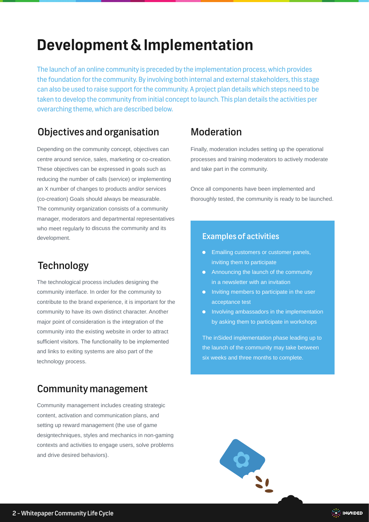### **Development & Implementation**

The launch of an online community is preceded by the implementation process, which provides the foundation for the community. By involving both internal and external stakeholders, this stage can also be used to raise support for the community. A project plan details which steps need to be taken to develop the community from initial concept to launch. This plan details the activities per overarching theme, which are described below.

### Objectives and organisation Moderation

Depending on the community concept, objectives can centre around service, sales, marketing or co-creation. These objectives can be expressed in goals such as reducing the number of calls (service) or implementing an X number of changes to products and/or services (co-creation) Goals should always be measurable. The community organization consists of a community manager, moderators and departmental representatives who meet regularly to discuss the community and its development.

### **Technology**

The technological process includes designing the community interface. In order for the community to contribute to the brand experience, it is important for the community to have its own distinct character. Another major point of consideration is the integration of the community into the existing website in order to attract sufficient visitors. The functionality to be implemented and links to exiting systems are also part of the technology process.

### Community management

Community management includes creating strategic content, activation and communication plans, and setting up reward management (the use of game designtechniques, styles and mechanics in non-gaming contexts and activities to engage users, solve problems and drive desired behaviors).

Finally, moderation includes setting up the operational processes and training moderators to actively moderate and take part in the community.

Once all components have been implemented and thoroughly tested, the community is ready to be launched.

#### Examples of activities

- **•** Emailing customers or customer panels, inviting them to participate
- **•** Announcing the launch of the community in a newsletter with an invitation
- Inviting members to participate in the user acceptance test
- **•** Involving ambassadors in the implementation by asking them to participate in workshops

The inSided implementation phase leading up to the launch of the community may take between six weeks and three months to complete.



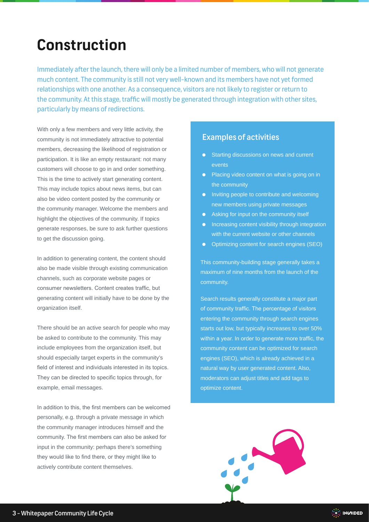### **Construction**

Immediately after the launch, there will only be a limited number of members, who will not generate much content. The community is still not very well-known and its members have not yet formed relationships with one another. As a consequence, visitors are not likely to register or return to the community. At this stage, traffic will mostly be generated through integration with other sites, particularly by means of redirections.

With only a few members and very little activity, the community is not immediately attractive to potential members, decreasing the likelihood of registration or participation. It is like an empty restaurant: not many customers will choose to go in and order something. This is the time to actively start generating content. This may include topics about news items, but can also be video content posted by the community or the community manager. Welcome the members and highlight the objectives of the community. If topics generate responses, be sure to ask further questions to get the discussion going.

In addition to generating content, the content should also be made visible through existing communication channels, such as corporate website pages or consumer newsletters. Content creates traffic, but generating content will initially have to be done by the organization itself.

There should be an active search for people who may be asked to contribute to the community. This may include employees from the organization itself, but should especially target experts in the community's field of interest and individuals interested in its topics. They can be directed to specific topics through, for example, email messages.

In addition to this, the first members can be welcomed personally, e.g. through a private message in which the community manager introduces himself and the community. The first members can also be asked for input in the community: perhaps there's something they would like to find there, or they might like to actively contribute content themselves.

#### Examples of activities

- **Starting discussions on news and current** events
- Placing video content on what is going on in the community
- Inviting people to contribute and welcoming new members using private messages
- **•** Asking for input on the community itself
- **•** Increasing content visibility through integration with the current website or other channels
- Optimizing content for search engines (SEO)

This community-building stage generally takes a maximum of nine months from the launch of the community.

Search results generally constitute a major part of community traffic. The percentage of visitors entering the community through search engines starts out low, but typically increases to over 50% within a year. In order to generate more traffic, the community content can be optimized for search engines (SEO), which is already achieved in a natural way by user generated content. Also, moderators can adjust titles and add tags to optimize content.

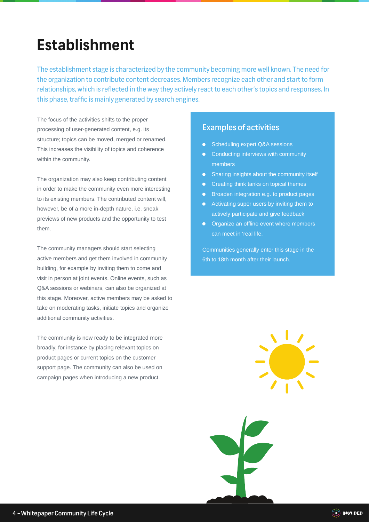### **Establishment**

The establishment stage is characterized by the community becoming more well known. The need for the organization to contribute content decreases. Members recognize each other and start to form relationships, which is reflected in the way they actively react to each other's topics and responses. In this phase, traffic is mainly generated by search engines.

The focus of the activities shifts to the proper processing of user-generated content, e.g. its structure; topics can be moved, merged or renamed. This increases the visibility of topics and coherence within the community.

The organization may also keep contributing content in order to make the community even more interesting to its existing members. The contributed content will, however, be of a more in-depth nature, i.e. sneak previews of new products and the opportunity to test them.

The community managers should start selecting active members and get them involved in community building, for example by inviting them to come and visit in person at joint events. Online events, such as Q&A sessions or webinars, can also be organized at this stage. Moreover, active members may be asked to take on moderating tasks, initiate topics and organize additional community activities.

The community is now ready to be integrated more broadly, for instance by placing relevant topics on product pages or current topics on the customer support page. The community can also be used on campaign pages when introducing a new product.

#### Examples of activities

- Scheduling expert Q&A sessions
- **•** Conducting interviews with community members
- Sharing insights about the community itself
- **•** Creating think tanks on topical themes
- **•** Broaden integration e.g. to product pages
- **•** Activating super users by inviting them to actively participate and give feedback
- **•** Organize an offline event where members can meet in 'real life.

Communities generally enter this stage in the 6th to 18th month after their launch.

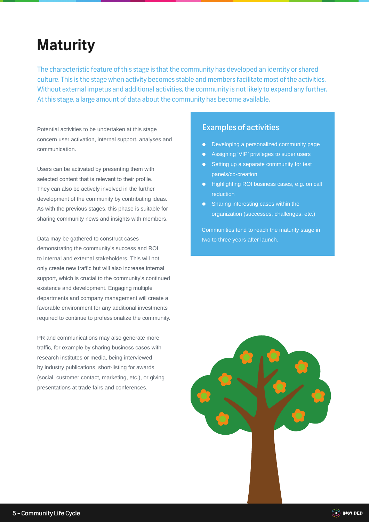### **Maturity**

The characteristic feature of this stage is that the community has developed an identity or shared culture. This is the stage when activity becomes stable and members facilitate most of the activities. Without external impetus and additional activities, the community is not likely to expand any further. At this stage, a large amount of data about the community has become available.

Potential activities to be undertaken at this stage concern user activation, internal support, analyses and communication.

Users can be activated by presenting them with selected content that is relevant to their profile. They can also be actively involved in the further development of the community by contributing ideas. As with the previous stages, this phase is suitable for sharing community news and insights with members.

Data may be gathered to construct cases demonstrating the community's success and ROI to internal and external stakeholders. This will not only create new traffic but will also increase internal support, which is crucial to the community's continued existence and development. Engaging multiple departments and company management will create a favorable environment for any additional investments required to continue to professionalize the community.

PR and communications may also generate more traffic, for example by sharing business cases with research institutes or media, being interviewed by industry publications, short-listing for awards (social, customer contact, marketing, etc.), or giving presentations at trade fairs and conferences.

#### Examples of activities

- **•** Developing a personalized community page
- **•** Assigning 'VIP' privileges to super users
- Setting up a separate community for test panels/co-creation
- Highlighting ROI business cases, e.g. on call reduction
- Sharing interesting cases within the organization (successes, challenges, etc.)

Communities tend to reach the maturity stage in two to three years after launch.

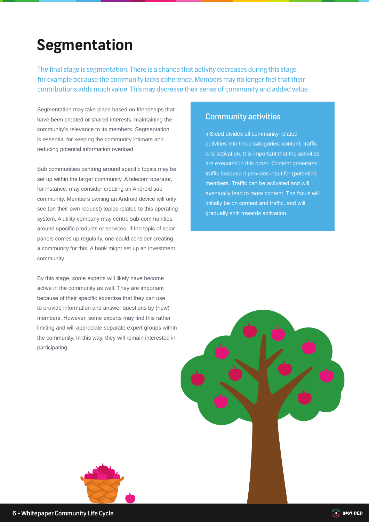## **Segmentation**

The final stage is segmentation. There is a chance that activity decreases during this stage, for example because the community lacks coherence. Members may no longer feel that their contributions adds much value. This may decrease their sense of community and added value.

Segmentation may take place based on friendships that have been created or shared interests, maintaining the community's relevance to its members. Segmentation is essential for keeping the community intimate and reducing potential information overload.

Sub communities centring around specific topics may be set up within the larger community. A telecom operator, for instance, may consider creating an Android sub community. Members owning an Android device will only see (on their own request) topics related to this operating system. A utility company may centre sub-communities around specific products or services. If the topic of solar panels comes up regularly, one could consider creating a community for this. A bank might set up an investment community.

By this stage, some experts will likely have become active in the community as well. They are important because of their specific expertise that they can use to provide information and answer questions by (new) members. However, some experts may find this rather limiting and will appreciate separate expert groups within the community. In this way, they will remain interested in participating.

#### Community activities

inSided divides all community-related activities into three categories: content, traffic and activation. It is important that the activities are executed in this order. Content generates traffic because it provides input for (potential) members. Traffic can be activated and will eventually lead to more content. The focus will initially be on content and traffic, and will gradually shift towards activation.



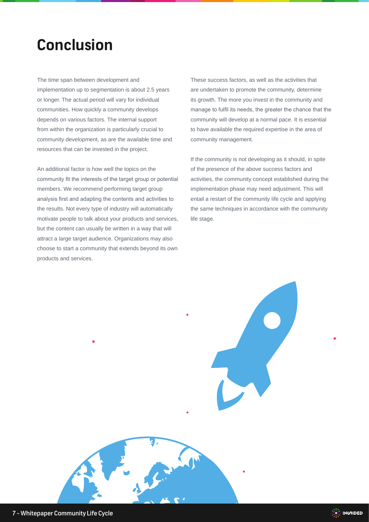### **Conclusion**

The time span between development and implementation up to segmentation is about 2.5 years or longer. The actual period will vary for individual communities. How quickly a community develops depends on various factors. The internal support from within the organization is particularly crucial to community development, as are the available time and resources that can be invested in the project.

An additional factor is how well the topics on the community fit the interests of the target group or potential members. We recommend performing target group analysis first and adapting the contents and activities to the results. Not every type of industry will automatically motivate people to talk about your products and services, but the content can usually be written in a way that will attract a large target audience. Organizations may also choose to start a community that extends beyond its own products and services.

These success factors, as well as the activities that are undertaken to promote the community, determine its growth. The more you invest in the community and manage to fulfil its needs, the greater the chance that the community will develop at a normal pace. It is essential to have available the required expertise in the area of community management.

If the community is not developing as it should, in spite of the presence of the above success factors and activities, the community concept established during the implementation phase may need adjustment. This will entail a restart of the community life cycle and applying the same techniques in accordance with the community life stage.

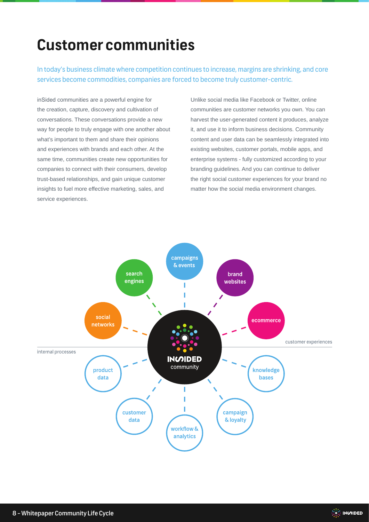### **Customer communities**

In today's business climate where competition continues to increase, margins are shrinking, and core services become commodities, companies are forced to become truly customer-centric.

inSided communities are a powerful engine for the creation, capture, discovery and cultivation of conversations. These conversations provide a new way for people to truly engage with one another about what's important to them and share their opinions and experiences with brands and each other. At the same time, communities create new opportunities for companies to connect with their consumers, develop trust-based relationships, and gain unique customer insights to fuel more effective marketing, sales, and service experiences.

Unlike social media like Facebook or Twitter, online communities are customer networks you own. You can harvest the user-generated content it produces, analyze it, and use it to inform business decisions. Community content and user data can be seamlessly integrated into existing websites, customer portals, mobile apps, and enterprise systems - fully customized according to your branding guidelines. And you can continue to deliver the right social customer experiences for your brand no matter how the social media environment changes.